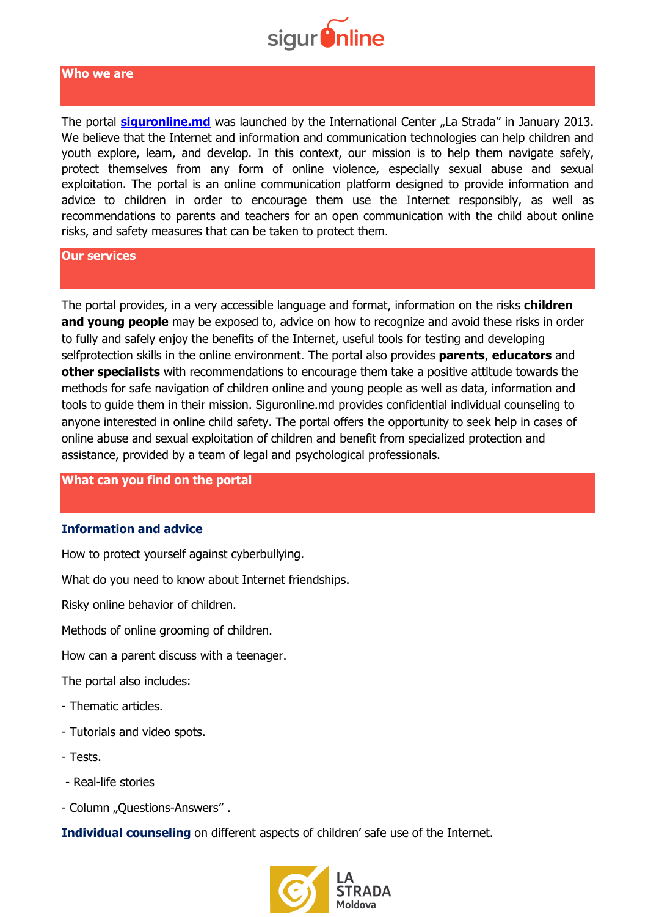

#### **Who we are**

The portal **[siguronline.md](https://siguronline.md/)** was launched by the International Center "La Strada" in January 2013. We believe that the Internet and information and communication technologies can help children and youth explore, learn, and develop. In this context, our mission is to help them navigate safely, protect themselves from any form of online violence, especially sexual abuse and sexual exploitation. The portal is an online communication platform designed to provide information and advice to children in order to encourage them use the Internet responsibly, as well as recommendations to parents and teachers for an open communication with the child about online risks, and safety measures that can be taken to protect them.

#### **Our services**

The portal provides, in a very accessible language and format, information on the risks **children**  and young people may be exposed to, advice on how to recognize and avoid these risks in order to fully and safely enjoy the benefits of the Internet, useful tools for testing and developing selfprotection skills in the online environment. The portal also provides **parents**, **educators** and **other specialists** with recommendations to encourage them take a positive attitude towards the methods for safe navigation of children online and young people as well as data, information and tools to guide them in their mission. Siguronline.md provides confidential individual counseling to anyone interested in online child safety. The portal offers the opportunity to seek help in cases of online abuse and sexual exploitation of children and benefit from specialized protection and assistance, provided by a team of legal and psychological professionals.

#### **What can you find on the portal**

#### **Information and advice**

How to protect yourself against cyberbullying.

What do you need to know about Internet friendships.

Risky online behavior of children.

Methods of online grooming of children.

How can a parent discuss with a teenager.

The portal also includes:

- Thematic articles.
- Tutorials and video spots.
- Tests.
- Real-life stories
- Column "Ouestions-Answers" .

**Individual counseling** on different aspects of children' safe use of the Internet.

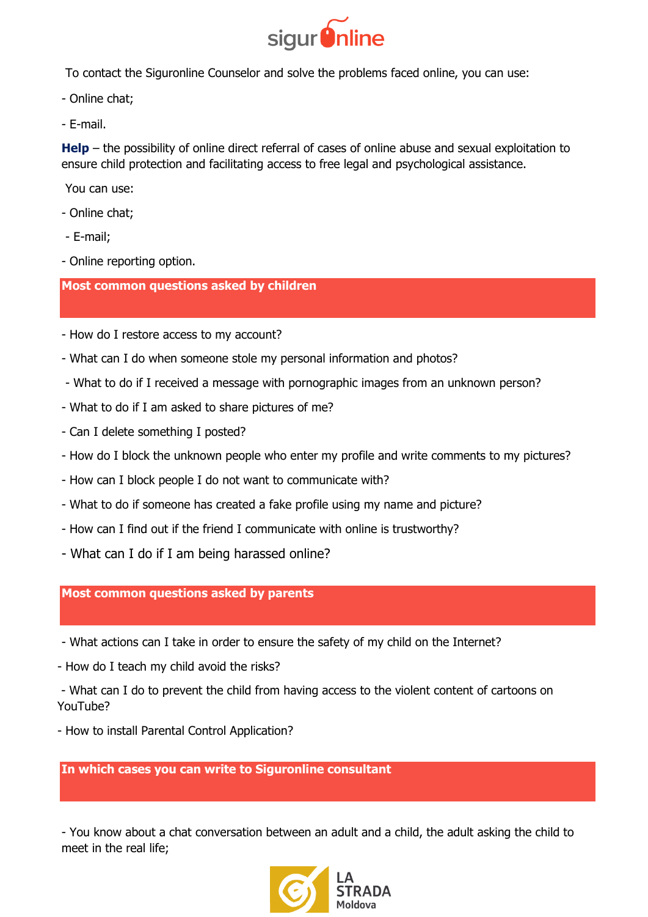

To contact the Siguronline Counselor and solve the problems faced online, you can use:

- Online chat;
- E-mail.

**Help** – the possibility of online direct referral of cases of online abuse and sexual exploitation to ensure child protection and facilitating access to free legal and psychological assistance.

You can use:

- Online chat;
- E-mail;
- Online reporting option.

# **Most common questions asked by children**

- How do I restore access to my account?
- What can I do when someone stole my personal information and photos?
- What to do if I received a message with pornographic images from an unknown person?
- What to do if I am asked to share pictures of me?
- Can I delete something I posted?
- How do I block the unknown people who enter my profile and write comments to my pictures?
- How can I block people I do not want to communicate with?
- What to do if someone has created a fake profile using my name and picture?
- How can I find out if the friend I communicate with online is trustworthy?
- What can I do if I am being harassed online?

# **Most common questions asked by parents**

- What actions can I take in order to ensure the safety of my child on the Internet?
- How do I teach my child avoid the risks?
- What can I do to prevent the child from having access to the violent content of cartoons on YouTube?
- How to install Parental Control Application?

# **In which cases you can write to Siguronline consultant**

- You know about a chat conversation between an adult and a child, the adult asking the child to meet in the real life;

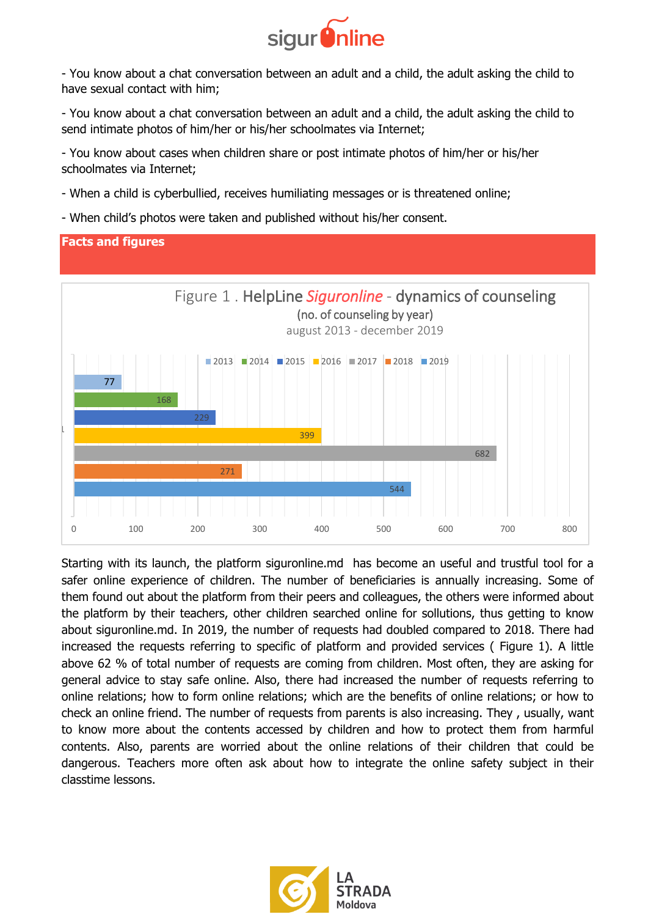

- You know about a chat conversation between an adult and a child, the adult asking the child to have sexual contact with him;

- You know about a chat conversation between an adult and a child, the adult asking the child to send intimate photos of him/her or his/her schoolmates via Internet;

- You know about cases when children share or post intimate photos of him/her or his/her schoolmates via Internet;

- When a child is cyberbullied, receives humiliating messages or is threatened online;
- When child's photos were taken and published without his/her consent.

# **Facts and figures**



Starting with its launch, the platform siguronline.md has become an useful and trustful tool for a safer online experience of children. The number of beneficiaries is annually increasing. Some of them found out about the platform from their peers and colleagues, the others were informed about the platform by their teachers, other children searched online for sollutions, thus getting to know about siguronline.md. In 2019, the number of requests had doubled compared to 2018. There had increased the requests referring to specific of platform and provided services ( Figure 1). A little above 62 % of total number of requests are coming from children. Most often, they are asking for general advice to stay safe online. Also, there had increased the number of requests referring to online relations; how to form online relations; which are the benefits of online relations; or how to check an online friend. The number of requests from parents is also increasing. They , usually, want to know more about the contents accessed by children and how to protect them from harmful contents. Also, parents are worried about the online relations of their children that could be dangerous. Teachers more often ask about how to integrate the online safety subject in their classtime lessons.

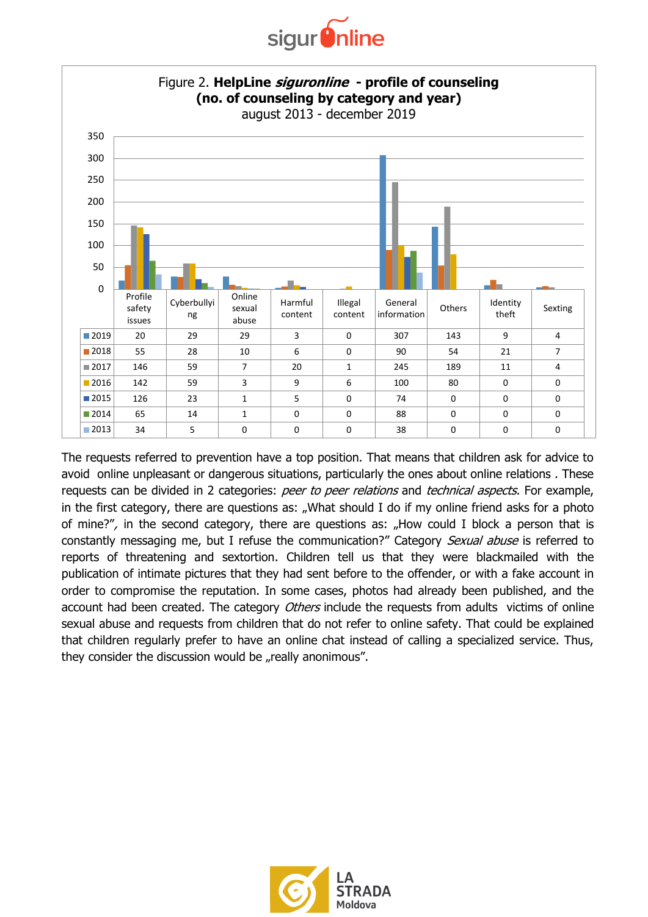



The requests referred to prevention have a top position. That means that children ask for advice to avoid online unpleasant or dangerous situations, particularly the ones about online relations . These requests can be divided in 2 categories: peer to peer relations and technical aspects. For example, in the first category, there are questions as: "What should I do if my online friend asks for a photo of mine?", in the second category, there are questions as: "How could I block a person that is constantly messaging me, but I refuse the communication?" Category Sexual abuse is referred to reports of threatening and sextortion. Children tell us that they were blackmailed with the publication of intimate pictures that they had sent before to the offender, or with a fake account in order to compromise the reputation. In some cases, photos had already been published, and the account had been created. The category *Others* include the requests from adults victims of online sexual abuse and requests from children that do not refer to online safety. That could be explained that children regularly prefer to have an online chat instead of calling a specialized service. Thus, they consider the discussion would be "really anonimous".